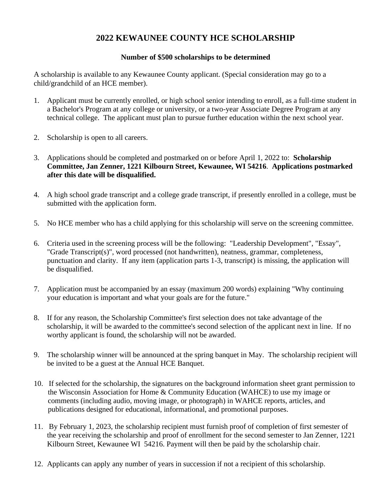## **2022 KEWAUNEE COUNTY HCE SCHOLARSHIP**

#### **Number of \$500 scholarships to be determined**

A scholarship is available to any Kewaunee County applicant. (Special consideration may go to a child/grandchild of an HCE member).

- 1. Applicant must be currently enrolled, or high school senior intending to enroll, as a full-time student in a Bachelor's Program at any college or university, or a two-year Associate Degree Program at any technical college. The applicant must plan to pursue further education within the next school year.
- 2. Scholarship is open to all careers.
- 3. Applications should be completed and postmarked on or before April 1, 2022 to: **Scholarship Committee, Jan Zenner, 1221 Kilbourn Street, Kewaunee, WI 54216**. **Applications postmarked after this date will be disqualified.**
- 4. A high school grade transcript and a college grade transcript, if presently enrolled in a college, must be submitted with the application form.
- 5. No HCE member who has a child applying for this scholarship will serve on the screening committee.
- 6. Criteria used in the screening process will be the following: "Leadership Development", "Essay", "Grade Transcript(s)", word processed (not handwritten), neatness, grammar, completeness, punctuation and clarity. If any item (application parts 1-3, transcript) is missing, the application will be disqualified.
- 7. Application must be accompanied by an essay (maximum 200 words) explaining "Why continuing your education is important and what your goals are for the future."
- 8. If for any reason, the Scholarship Committee's first selection does not take advantage of the scholarship, it will be awarded to the committee's second selection of the applicant next in line. If no worthy applicant is found, the scholarship will not be awarded.
- 9. The scholarship winner will be announced at the spring banquet in May. The scholarship recipient will be invited to be a guest at the Annual HCE Banquet.
- 10. If selected for the scholarship, the signatures on the background information sheet grant permission to the Wisconsin Association for Home & Community Education (WAHCE) to use my image or comments (including audio, moving image, or photograph) in WAHCE reports, articles, and publications designed for educational, informational, and promotional purposes.
- 11. By February 1, 2023, the scholarship recipient must furnish proof of completion of first semester of the year receiving the scholarship and proof of enrollment for the second semester to Jan Zenner, 1221 Kilbourn Street, Kewaunee WI 54216. Payment will then be paid by the scholarship chair.
- 12. Applicants can apply any number of years in succession if not a recipient of this scholarship.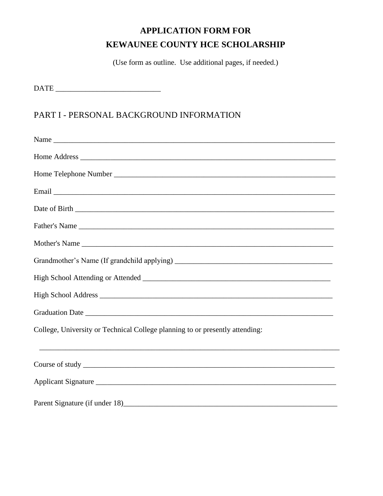# **APPLICATION FORM FOR KEWAUNEE COUNTY HCE SCHOLARSHIP**

(Use form as outline. Use additional pages, if needed.)

 $\begin{tabular}{|c|c|c|} \hline \multicolumn{3}{|c|}{\textbf{DATE}} & \multicolumn{3}{|c|}{\textbf{DATE}} \\ \hline \end{tabular}$ 

# PART I - PERSONAL BACKGROUND INFORMATION

| Name                                                                         |
|------------------------------------------------------------------------------|
|                                                                              |
|                                                                              |
|                                                                              |
|                                                                              |
|                                                                              |
|                                                                              |
|                                                                              |
|                                                                              |
|                                                                              |
|                                                                              |
| College, University or Technical College planning to or presently attending: |
|                                                                              |
| Applicant Signature                                                          |
|                                                                              |